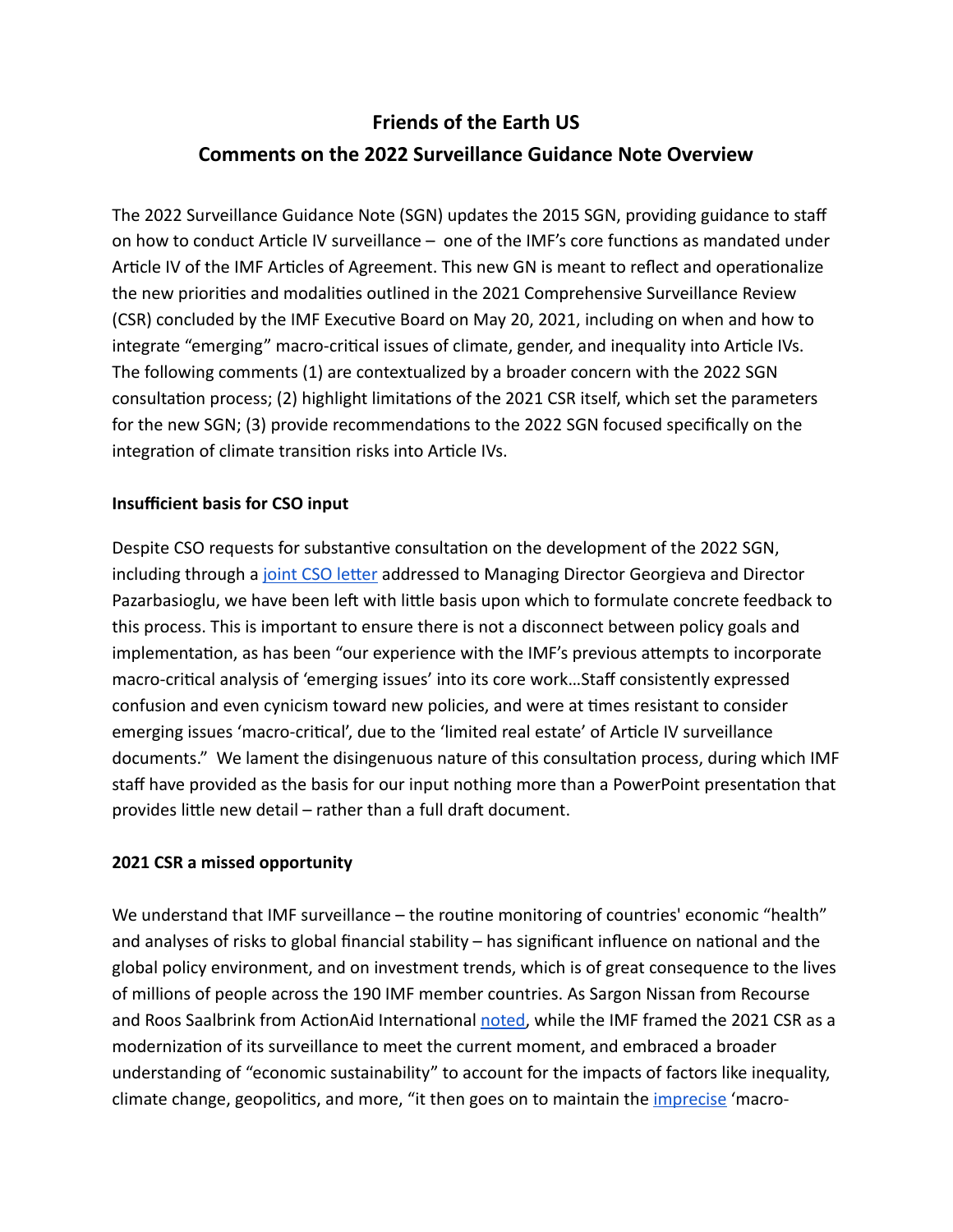# **Friends of the Earth US Comments on the 2022 Surveillance Guidance Note Overview**

The 2022 Surveillance Guidance Note (SGN) updates the 2015 SGN, providing guidance to staff on how to conduct Article IV surveillance – one of the IMF's core functions as mandated under Article IV of the IMF Articles of Agreement. This new GN is meant to reflect and operationalize the new priorities and modalities outlined in the 2021 Comprehensive Surveillance Review (CSR) concluded by the IMF Executive Board on May 20, 2021, including on when and how to integrate "emerging" macro-critical issues of climate, gender, and inequality into Article IVs. The following comments (1) are contextualized by a broader concern with the 2022 SGN consultation process; (2) highlight limitations of the 2021 CSR itself, which set the parameters for the new SGN; (3) provide recommendations to the 2022 SGN focused specifically on the integration of climate transition risks into Article IVs.

# **Insufficient basis for CSO input**

Despite CSO requests for substantive consultation on the development of the 2022 SGN, including through a joint CSO letter addressed to Managing Director Georgieva and Director Pazarbasioglu, we have been left with little basis upon which to formulate concrete feedback to this process. This is important to ensure there is not a disconnect between policy goals and implementation, as has been "our experience with the IMF's previous attempts to incorporate macro-critical analysis of 'emerging issues' into its core work...Staff consistently expressed confusion and even cynicism toward new policies, and were at times resistant to consider emerging issues 'macro-critical', due to the 'limited real estate' of Article IV surveillance documents." We lament the disingenuous nature of this consultation process, during which IMF staff have provided as the basis for our input nothing more than a PowerPoint presentation that provides little new detail – rather than a full draft document.

### **2021 CSR a missed opportunity**

We understand that IMF surveillance – the routine monitoring of countries' economic "health" and analyses of risks to global financial stability  $-$  has significant influence on national and the global policy environment, and on investment trends, which is of great consequence to the lives of millions of people across the 190 IMF member countries. As Sargon Nissan from Recourse and Roos Saalbrink from ActionAid International [noted,](https://www.brettonwoodsproject.org/2021/07/the-imfs-comprehensive-surveillance-review-a-bungled-attempt-at-meeting-the-moment/) while the IMF framed the 2021 CSR as a modernization of its surveillance to meet the current moment, and embraced a broader understanding of "economic sustainability" to account for the impacts of factors like inequality, climate change, geopolitics, and more, "it then goes on to maintain the *imprecise* 'macro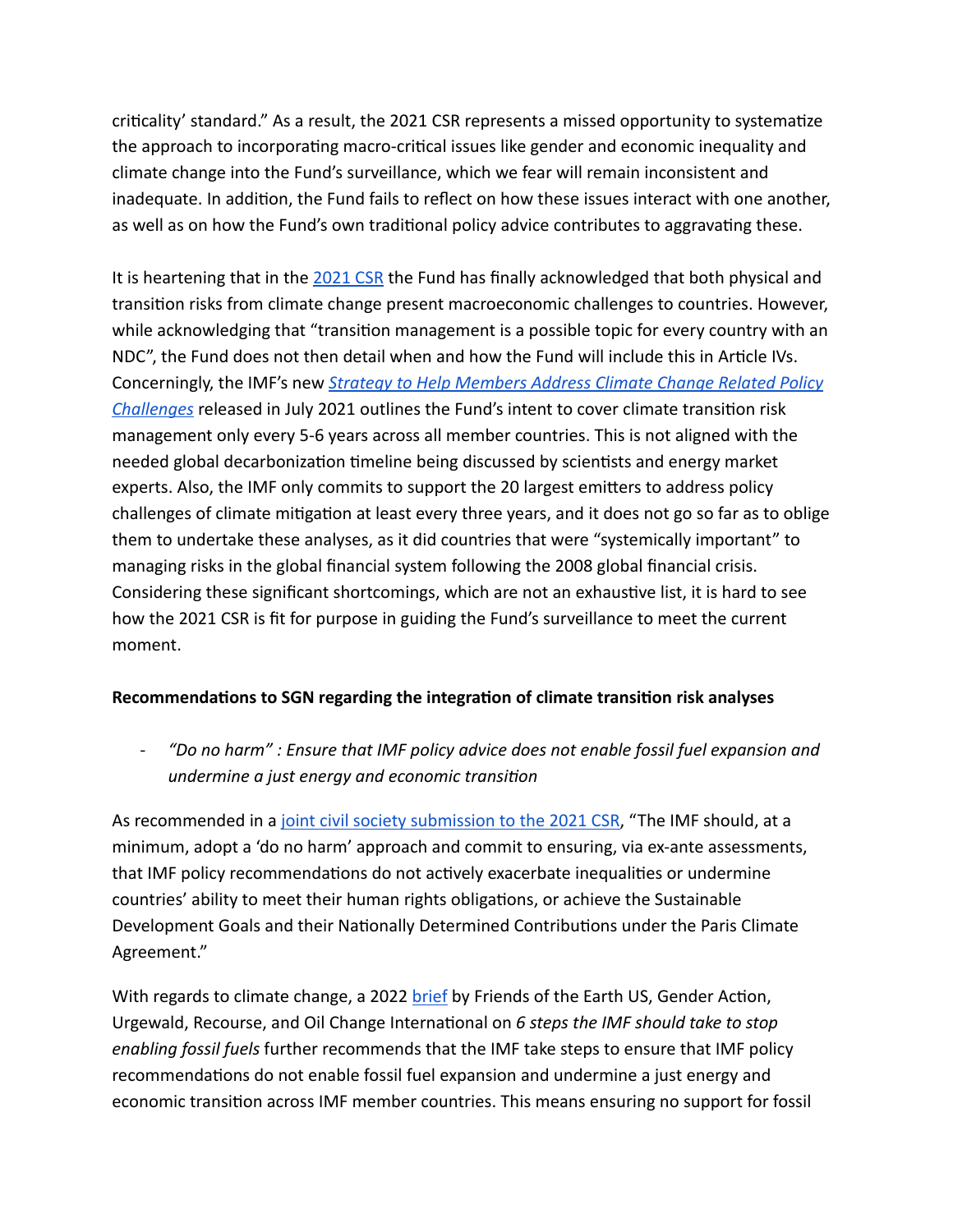criticality' standard." As a result, the 2021 CSR represents a missed opportunity to systematize the approach to incorporating macro-critical issues like gender and economic inequality and climate change into the Fund's surveillance, which we fear will remain inconsistent and inadequate. In addition, the Fund fails to reflect on how these issues interact with one another, as well as on how the Fund's own traditional policy advice contributes to aggravating these.

It is heartening that in the [2021 CSR](https://www.imf.org/en/Publications/Policy-Papers/Issues/2021/05/18/2021-Comprehensive-Surveillance-Review-Background-Paper-on-Integrating-Climate-Change-into-460303) the Fund has finally acknowledged that both physical and transition risks from climate change present macroeconomic challenges to countries. However, while acknowledging that "transition management is a possible topic for every country with an NDC", the Fund does not then detail when and how the Fund will include this in Article IVs. Concerningly, the IMF's new *[Strategy to Help Members Address Climate Change Related Policy](https://www.imf.org/en/Publications/Policy-Papers/Issues/2021/07/30/IMF-Strategy-to-Help-Members-Address-Climate-Change-Related-Policy-Challenges-Priorities-463093)  [Challenges](https://www.imf.org/en/Publications/Policy-Papers/Issues/2021/07/30/IMF-Strategy-to-Help-Members-Address-Climate-Change-Related-Policy-Challenges-Priorities-463093)* released in July 2021 outlines the Fund's intent to cover climate transition risk management only every 5-6 years across all member countries. This is not aligned with the needed global decarbonization timeline being discussed by scientists and energy market experts. Also, the IMF only commits to support the 20 largest emitters to address policy challenges of climate mitigation at least every three years, and it does not go so far as to oblige them to undertake these analyses, as it did countries that were "systemically important" to managing risks in the global financial system following the 2008 global financial crisis. Considering these significant shortcomings, which are not an exhaustive list, it is hard to see how the 2021 CSR is fit for purpose in guiding the Fund's surveillance to meet the current moment.

### **Recommendations to SGN regarding the integration of climate transition risk analyses**

*- "Do no harm" : Ensure that IMF policy advice does not enable fossil fuel expansion and undermine a just energy and economic transition* 

As recommended in a [joint civil society submission to the 2021 CSR](https://www.google.com/url?sa=t&rct=j&q=&esrc=s&source=web&cd=&ved=2ahUKEwj8oO_D2u33AhVXh1wKHf_5BXAQFnoECAIQAQ&url=https://www.brettonwoodsproject.org/wp-content/uploads/2021/03/A-Proposed-Framework-for-IMF-Engagement-in-Country-level-Surveillance-on-Macrostructural-Issues-Inequality-Gender-and-Climate-Change.pdf&usg=AOvVaw0Bs-V75e_77CaymAe1iNdA), "The IMF should, at a minimum, adopt a 'do no harm' approach and commit to ensuring, via ex-ante assessments, that IMF policy recommendations do not actively exacerbate inequalities or undermine countries' ability to meet their human rights obligations, or achieve the Sustainable Development Goals and their Nationally Determined Contributions under the Paris Climate Agreement."

With regards to climate change, a 2022 [brief](https://1bps6437gg8c169i0y1drtgz-wpengine.netdna-ssl.com/wp-content/uploads/2022/04/IMF_Brief_v3_041822.pdf) by Friends of the Earth US, Gender Action, Urgewald, Recourse, and Oil Change International on 6 steps the IMF should take to stop *enabling fossil fuels* further recommends that the IMF take steps to ensure that IMF policy recommendations do not enable fossil fuel expansion and undermine a just energy and economic transition across IMF member countries. This means ensuring no support for fossil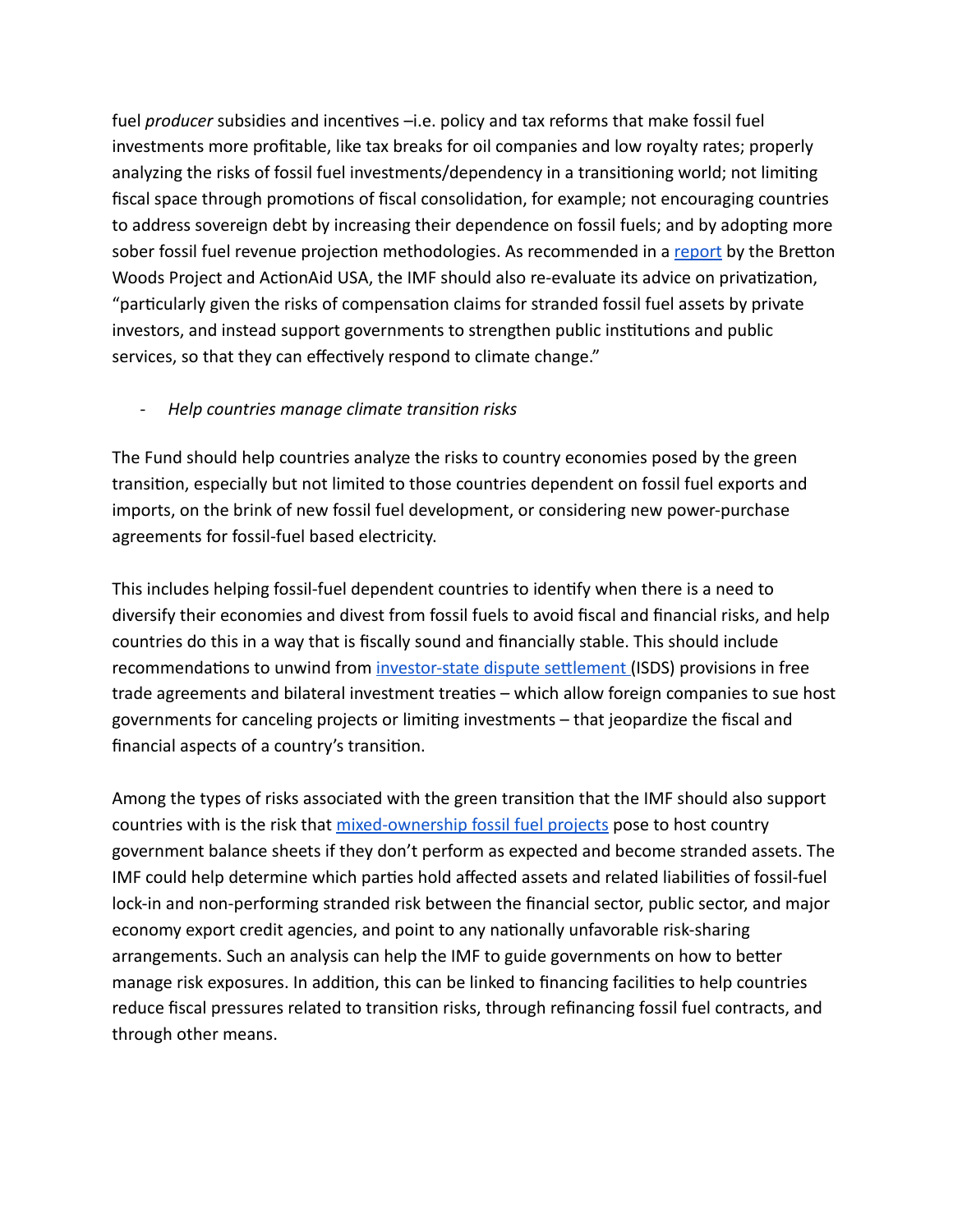fuel *producer* subsidies and incentives –i.e. policy and tax reforms that make fossil fuel investments more profitable, like tax breaks for oil companies and low royalty rates; properly analyzing the risks of fossil fuel investments/dependency in a transitioning world; not limiting fiscal space through promotions of fiscal consolidation, for example; not encouraging countries to address sovereign debt by increasing their dependence on fossil fuels; and by adopting more sober fossil fuel revenue projection methodologies. As recommended in a [report](https://www.actionaidusa.org/wp-content/uploads/2021/08/IMF-x-climate-FINAL-1.pdf) by the Bretton Woods Project and ActionAid USA, the IMF should also re-evaluate its advice on privatization, "particularly given the risks of compensation claims for stranded fossil fuel assets by private investors, and instead support governments to strengthen public institutions and public services, so that they can effectively respond to climate change."

#### *- Help countries manage climate transition risks*

The Fund should help countries analyze the risks to country economies posed by the green transition, especially but not limited to those countries dependent on fossil fuel exports and imports, on the brink of new fossil fuel development, or considering new power-purchase agreements for fossil-fuel based electricity.

This includes helping fossil-fuel dependent countries to identify when there is a need to diversify their economies and divest from fossil fuels to avoid fiscal and financial risks, and help countries do this in a way that is fiscally sound and financially stable. This should include recommendations to unwind from investor-state dispute settlement (ISDS) provisions in free trade agreements and bilateral investment treaties – which allow foreign companies to sue host governments for canceling projects or limiting investments – that jeopardize the fiscal and financial aspects of a country's transition.

Among the types of risks associated with the green transition that the IMF should also support countries with is the risk that [mixed-ownership fossil fuel projects](https://www.v-20.org/resources/macrofinancial-risks-in-climate-vulnerable-developing-countries-and-the-role-of-the-imf-towards-a-joint-v20-imf-action-agenda) pose to host country government balance sheets if they don't perform as expected and become stranded assets. The IMF could help determine which parties hold affected assets and related liabilities of fossil-fuel lock-in and non-performing stranded risk between the financial sector, public sector, and major economy export credit agencies, and point to any nationally unfavorable risk-sharing arrangements. Such an analysis can help the IMF to guide governments on how to better manage risk exposures. In addition, this can be linked to financing facilities to help countries reduce fiscal pressures related to transition risks, through refinancing fossil fuel contracts, and through other means.